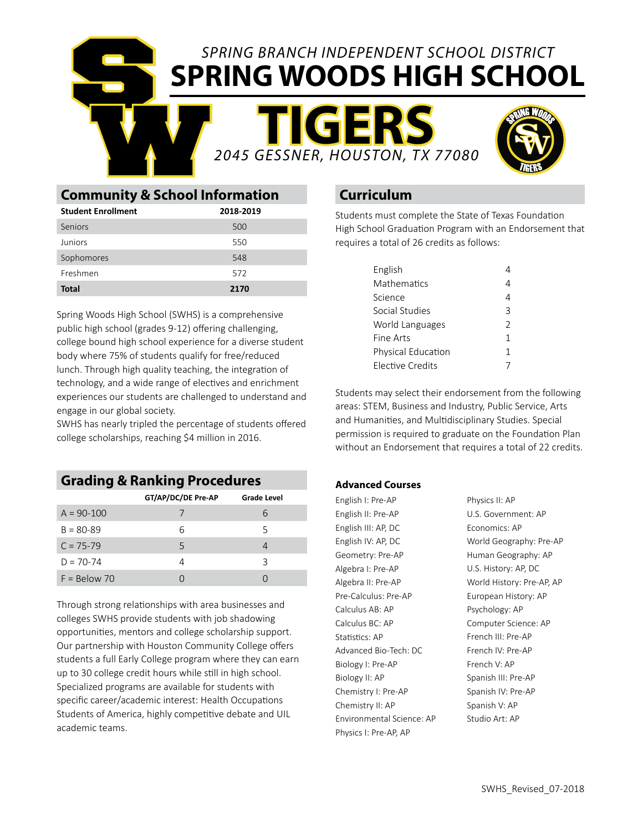*SPRING BRANCH INDEPENDENT SCHOOL DISTRICT* **SPRING WOODS HIGH SCHOOL**

**TIGERS** *2045 GESSNER, HOUSTON, TX 77080*



|                                           | 2045 GESSN |  |  |
|-------------------------------------------|------------|--|--|
| <b>Community &amp; School Information</b> |            |  |  |
| <b>Student Enrollment</b>                 | 2018-2019  |  |  |
| Seniors                                   | 500        |  |  |
| Juniors                                   | 550        |  |  |
| Sophomores                                | 548        |  |  |
| Freshmen                                  | 572        |  |  |
| <b>Total</b>                              | 2170       |  |  |

S

Spring Woods High School (SWHS) is a comprehensive public high school (grades 9-12) offering challenging, college bound high school experience for a diverse student body where 75% of students qualify for free/reduced lunch. Through high quality teaching, the integration of technology, and a wide range of electives and enrichment experiences our students are challenged to understand and engage in our global society.

SWHS has nearly tripled the percentage of students offered college scholarships, reaching \$4 million in 2016.

## **Grading & Ranking Procedures**

|                | GT/AP/DC/DE Pre-AP | <b>Grade Level</b> |
|----------------|--------------------|--------------------|
| $A = 90-100$   |                    | 6                  |
| $B = 80 - 89$  | 6                  | 5                  |
| $C = 75 - 79$  | 5                  |                    |
| $D = 70 - 74$  |                    | ζ                  |
| $F = Below 70$ |                    |                    |

Through strong relationships with area businesses and colleges SWHS provide students with job shadowing opportunities, mentors and college scholarship support. Our partnership with Houston Community College offers students a full Early College program where they can earn up to 30 college credit hours while still in high school. Specialized programs are available for students with specific career/academic interest: Health Occupations Students of America, highly competitive debate and UIL academic teams.

# **Curriculum**

Students must complete the State of Texas Foundation High School Graduation Program with an Endorsement that requires a total of 26 credits as follows:

| English                 |               |
|-------------------------|---------------|
| Mathematics             |               |
| Science                 |               |
| Social Studies          | ς             |
| World Languages         | $\mathcal{P}$ |
| Fine Arts               | 1             |
| Physical Education      | 1             |
| <b>Elective Credits</b> |               |

Students may select their endorsement from the following areas: STEM, Business and Industry, Public Service, Arts and Humanities, and Multidisciplinary Studies. Special permission is required to graduate on the Foundation Plan without an Endorsement that requires a total of 22 credits.

### **Advanced Courses**

English I: Pre-AP English II: Pre-AP English III: AP, DC English IV: AP, DC Geometry: Pre-AP Algebra I: Pre-AP Algebra II: Pre-AP Pre-Calculus: Pre-AP Calculus AB: AP Calculus BC: AP Statistics: AP Advanced Bio-Tech: DC Biology I: Pre-AP Biology II: AP Chemistry I: Pre-AP Chemistry II: AP Environmental Science: AP Physics I: Pre-AP, AP

Physics II: AP U.S. Government: AP Economics: AP World Geography: Pre-AP Human Geography: AP U.S. History: AP, DC World History: Pre-AP, AP European History: AP Psychology: AP Computer Science: AP French III: Pre-AP French IV: Pre-AP French V: AP Spanish III: Pre-AP Spanish IV: Pre-AP Spanish V: AP Studio Art: AP